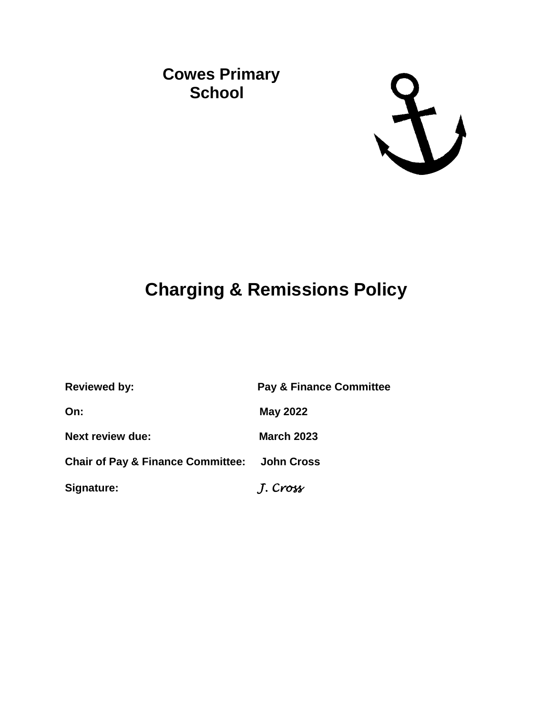## **Cowes Primary School**



# **Charging & Remissions Policy**

| <b>Reviewed by:</b>                                     | <b>Pay &amp; Finance Committee</b> |
|---------------------------------------------------------|------------------------------------|
| On:                                                     | <b>May 2022</b>                    |
| <b>Next review due:</b>                                 | <b>March 2023</b>                  |
| <b>Chair of Pay &amp; Finance Committee: John Cross</b> |                                    |
| Signature:                                              | J. Cross                           |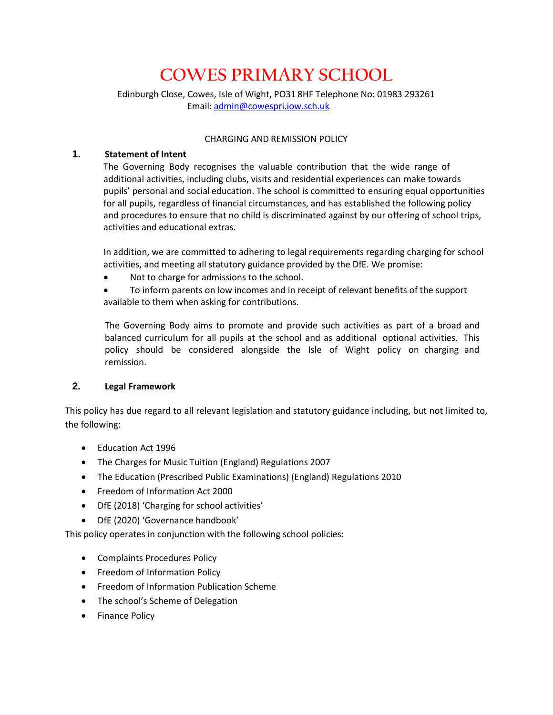## **COWES PRIMARY SCHOOL**

Edinburgh Close, Cowes, Isle of Wight, PO31 8HF Telephone No: 01983 293261 Email: [admin@cowespri.iow.sch.uk](mailto:admin@cowespri.iow.sch.uk)

#### CHARGING AND REMISSION POLICY

### **1. Statement of Intent**

The Governing Body recognises the valuable contribution that the wide range of additional activities, including clubs, visits and residential experiences can make towards pupils' personal and social education. The school is committed to ensuring equal opportunities for all pupils, regardless of financial circumstances, and has established the following policy and procedures to ensure that no child is discriminated against by our offering of school trips, activities and educational extras.

In addition, we are committed to adhering to legal requirements regarding charging for school activities, and meeting all statutory guidance provided by the DfE. We promise:

Not to charge for admissions to the school.

 To inform parents on low incomes and in receipt of relevant benefits of the support available to them when asking for contributions.

The Governing Body aims to promote and provide such activities as part of a broad and balanced curriculum for all pupils at the school and as additional optional activities. This policy should be considered alongside the Isle of Wight policy on charging and remission.

## **2. Legal Framework**

This policy has due regard to all relevant legislation and statutory guidance including, but not limited to, the following:

- Education Act 1996
- The Charges for Music Tuition (England) Regulations 2007
- The Education (Prescribed Public Examinations) (England) Regulations 2010
- Freedom of Information Act 2000
- DfE (2018) 'Charging for school activities'
- DfE (2020) 'Governance handbook'

This policy operates in conjunction with the following school policies:

- Complaints Procedures Policy
- Freedom of Information Policy
- **•** Freedom of Information Publication Scheme
- The school's Scheme of Delegation
- Finance Policy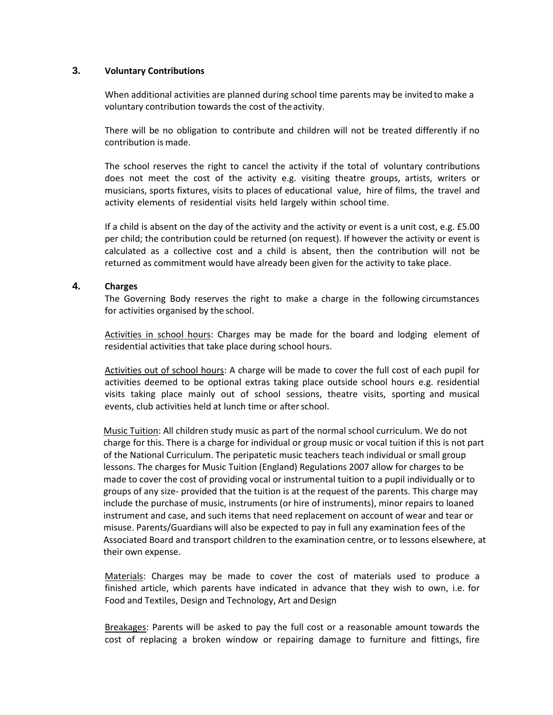#### **3. Voluntary Contributions**

When additional activities are planned during school time parents may be invited to make a voluntary contribution towards the cost of theactivity.

There will be no obligation to contribute and children will not be treated differently if no contribution is made.

The school reserves the right to cancel the activity if the total of voluntary contributions does not meet the cost of the activity e.g. visiting theatre groups, artists, writers or musicians, sports fixtures, visits to places of educational value, hire of films, the travel and activity elements of residential visits held largely within school time.

If a child is absent on the day of the activity and the activity or event is a unit cost, e.g. £5.00 per child; the contribution could be returned (on request). If however the activity or event is calculated as a collective cost and a child is absent, then the contribution will not be returned as commitment would have already been given for the activity to take place.

#### **4. Charges**

The Governing Body reserves the right to make a charge in the following circumstances for activities organised by the school.

Activities in school hours: Charges may be made for the board and lodging element of residential activities that take place during school hours.

Activities out of school hours: A charge will be made to cover the full cost of each pupil for activities deemed to be optional extras taking place outside school hours e.g. residential visits taking place mainly out of school sessions, theatre visits, sporting and musical events, club activities held at lunch time or after school.

Music Tuition: All children study music as part of the normal school curriculum. We do not charge for this. There is a charge for individual or group music or vocal tuition if this is not part of the National Curriculum. The peripatetic music teachers teach individual or small group lessons. The charges for Music Tuition (England) Regulations 2007 allow for charges to be made to cover the cost of providing vocal or instrumental tuition to a pupil individually or to groups of any size- provided that the tuition is at the request of the parents. This charge may include the purchase of music, instruments (or hire of instruments), minor repairs to loaned instrument and case, and such items that need replacement on account of wear and tear or misuse. Parents/Guardians will also be expected to pay in full any examination fees of the Associated Board and transport children to the examination centre, or to lessons elsewhere, at their own expense.

Materials: Charges may be made to cover the cost of materials used to produce a finished article, which parents have indicated in advance that they wish to own, i.e. for Food and Textiles, Design and Technology, Art and Design

Breakages: Parents will be asked to pay the full cost or a reasonable amount towards the cost of replacing a broken window or repairing damage to furniture and fittings, fire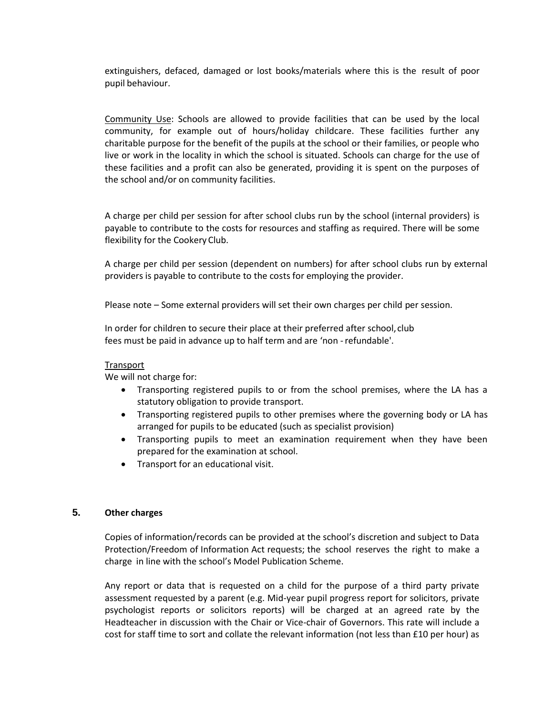extinguishers, defaced, damaged or lost books/materials where this is the result of poor pupil behaviour.

Community Use: Schools are allowed to provide facilities that can be used by the local community, for example out of hours/holiday childcare. These facilities further any charitable purpose for the benefit of the pupils at the school or their families, or people who live or work in the locality in which the school is situated. Schools can charge for the use of these facilities and a profit can also be generated, providing it is spent on the purposes of the school and/or on community facilities.

A charge per child per session for after school clubs run by the school (internal providers) is payable to contribute to the costs for resources and staffing as required. There will be some flexibility for the Cookery Club.

A charge per child per session (dependent on numbers) for after school clubs run by external providers is payable to contribute to the costs for employing the provider.

Please note – Some external providers will set their own charges per child per session.

In order for children to secure their place at their preferred after school, club fees must be paid in advance up to half term and are 'non -refundable'.

#### Transport

We will not charge for:

- Transporting registered pupils to or from the school premises, where the LA has a statutory obligation to provide transport.
- Transporting registered pupils to other premises where the governing body or LA has arranged for pupils to be educated (such as specialist provision)
- Transporting pupils to meet an examination requirement when they have been prepared for the examination at school.
- Transport for an educational visit.

#### **5. Other charges**

Copies of information/records can be provided at the school's discretion and subject to Data Protection/Freedom of Information Act requests; the school reserves the right to make a charge in line with the school's Model Publication Scheme.

Any report or data that is requested on a child for the purpose of a third party private assessment requested by a parent (e.g. Mid-year pupil progress report for solicitors, private psychologist reports or solicitors reports) will be charged at an agreed rate by the Headteacher in discussion with the Chair or Vice-chair of Governors. This rate will include a cost for staff time to sort and collate the relevant information (not less than £10 per hour) as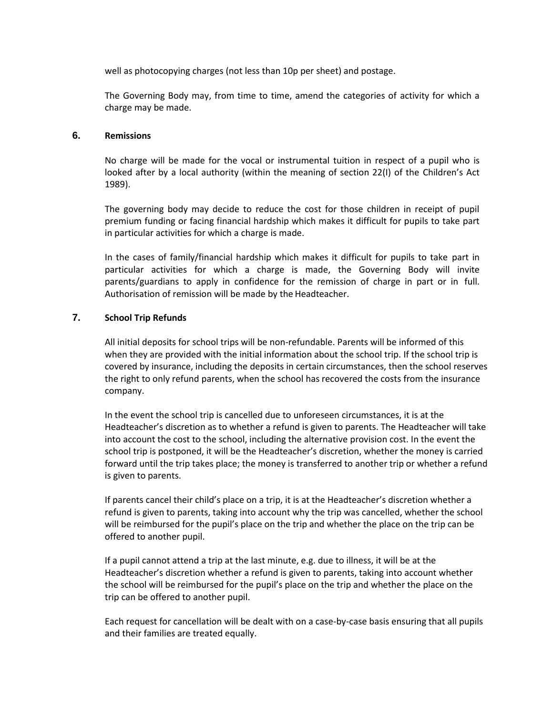well as photocopying charges (not less than 10p per sheet) and postage.

The Governing Body may, from time to time, amend the categories of activity for which a charge may be made.

#### **6. Remissions**

No charge will be made for the vocal or instrumental tuition in respect of a pupil who is looked after by a local authority (within the meaning of section 22(I) of the Children's Act 1989).

The governing body may decide to reduce the cost for those children in receipt of pupil premium funding or facing financial hardship which makes it difficult for pupils to take part in particular activities for which a charge is made.

In the cases of family/financial hardship which makes it difficult for pupils to take part in particular activities for which a charge is made, the Governing Body will invite parents/guardians to apply in confidence for the remission of charge in part or in full. Authorisation of remission will be made by the Headteacher.

## **7. School Trip Refunds**

All initial deposits for school trips will be non-refundable. Parents will be informed of this when they are provided with the initial information about the school trip. If the school trip is covered by insurance, including the deposits in certain circumstances, then the school reserves the right to only refund parents, when the school has recovered the costs from the insurance company.

In the event the school trip is cancelled due to unforeseen circumstances, it is at the Headteacher's discretion as to whether a refund is given to parents. The Headteacher will take into account the cost to the school, including the alternative provision cost. In the event the school trip is postponed, it will be the Headteacher's discretion, whether the money is carried forward until the trip takes place; the money is transferred to another trip or whether a refund is given to parents.

If parents cancel their child's place on a trip, it is at the Headteacher's discretion whether a refund is given to parents, taking into account why the trip was cancelled, whether the school will be reimbursed for the pupil's place on the trip and whether the place on the trip can be offered to another pupil.

If a pupil cannot attend a trip at the last minute, e.g. due to illness, it will be at the Headteacher's discretion whether a refund is given to parents, taking into account whether the school will be reimbursed for the pupil's place on the trip and whether the place on the trip can be offered to another pupil.

Each request for cancellation will be dealt with on a case-by-case basis ensuring that all pupils and their families are treated equally.